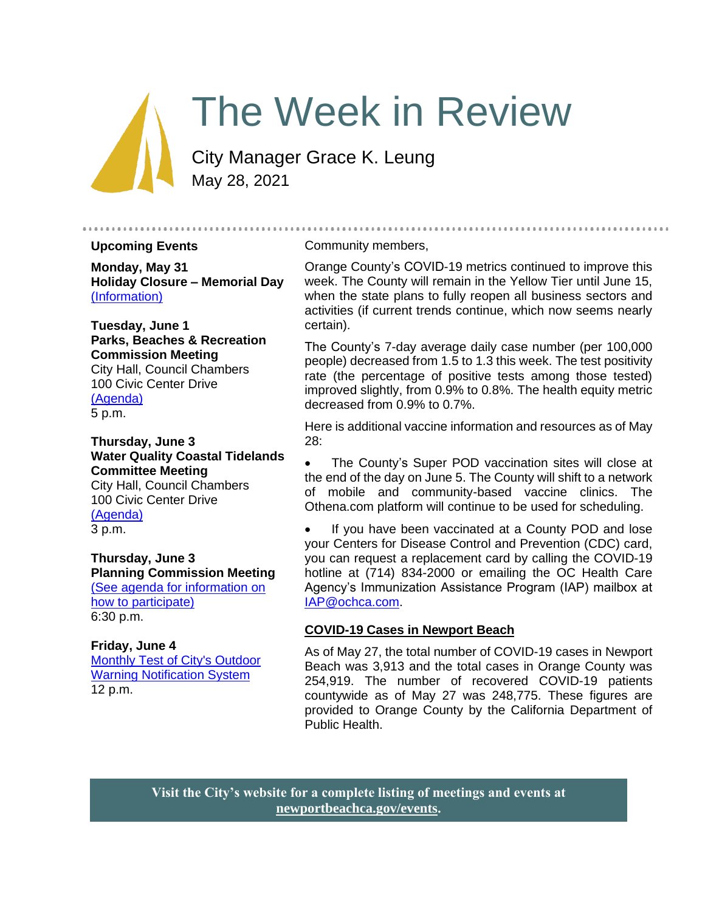# The Week in Review

City Manager Grace K. Leung May 28, 2021

#### **Upcoming Events**

**Monday, May 31 Holiday Closure – Memorial Day** [\(Information\)](https://www.newportbeachca.gov/Home/Components/Calendar/Event/65881/72)

**Tuesday, June 1 Parks, Beaches & Recreation Commission Meeting** City Hall, Council Chambers 100 Civic Center Drive [\(Agenda\)](https://www.newportbeachca.gov/home/showpublisheddocument/69906/637576458214603352) 5 p.m.

**Thursday, June 3 Water Quality Coastal Tidelands Committee Meeting** City Hall, Council Chambers 100 Civic Center Drive [\(Agenda\)](https://www.newportbeachca.gov/home/showpublisheddocument/69908/637577115404666989) 3 p.m.

**Thursday, June 3 Planning Commission Meeting** [\(See agenda for information on](https://www.newportbeachca.gov/PLN/planning_commission/current_agenda.pdf)  [how to participate\)](https://www.newportbeachca.gov/PLN/planning_commission/current_agenda.pdf)

6:30 p.m.

**Friday, June 4** [Monthly Test of City's Outdoor](https://www.newportbeachca.gov/Home/Components/Calendar/Event/66026/72?curm=6&cury=2021)  **[Warning Notification System](https://www.newportbeachca.gov/Home/Components/Calendar/Event/66026/72?curm=6&cury=2021)** 12 p.m.

#### Community members,

Orange County's COVID-19 metrics continued to improve this week. The County will remain in the Yellow Tier until June 15, when the state plans to fully reopen all business sectors and activities (if current trends continue, which now seems nearly certain).

..........................

The County's 7-day average daily case number (per 100,000 people) decreased from 1.5 to 1.3 this week. The test positivity rate (the percentage of positive tests among those tested) improved slightly, from 0.9% to 0.8%. The health equity metric decreased from 0.9% to 0.7%.

Here is additional vaccine information and resources as of May 28:

The County's Super POD vaccination sites will close at the end of the day on June 5. The County will shift to a network of mobile and community-based vaccine clinics. The Othena.com platform will continue to be used for scheduling.

• If you have been vaccinated at a County POD and lose your Centers for Disease Control and Prevention (CDC) card, you can request a replacement card by calling the COVID-19 hotline at (714) 834-2000 or emailing the OC Health Care Agency's Immunization Assistance Program (IAP) mailbox at [IAP@ochca.com.](mailto:IAP@ochca.com)

#### **COVID-19 Cases in Newport Beach**

As of May 27, the total number of COVID-19 cases in Newport Beach was 3,913 and the total cases in Orange County was 254,919. The number of recovered COVID-19 patients countywide as of May 27 was 248,775. These figures are provided to Orange County by the California Department of Public Health.

**Visit the City's website for a complete listing of meetings and events at [newportbeachca.gov/events.](https://www.newportbeachca.gov/government/data-hub/city-calendar)**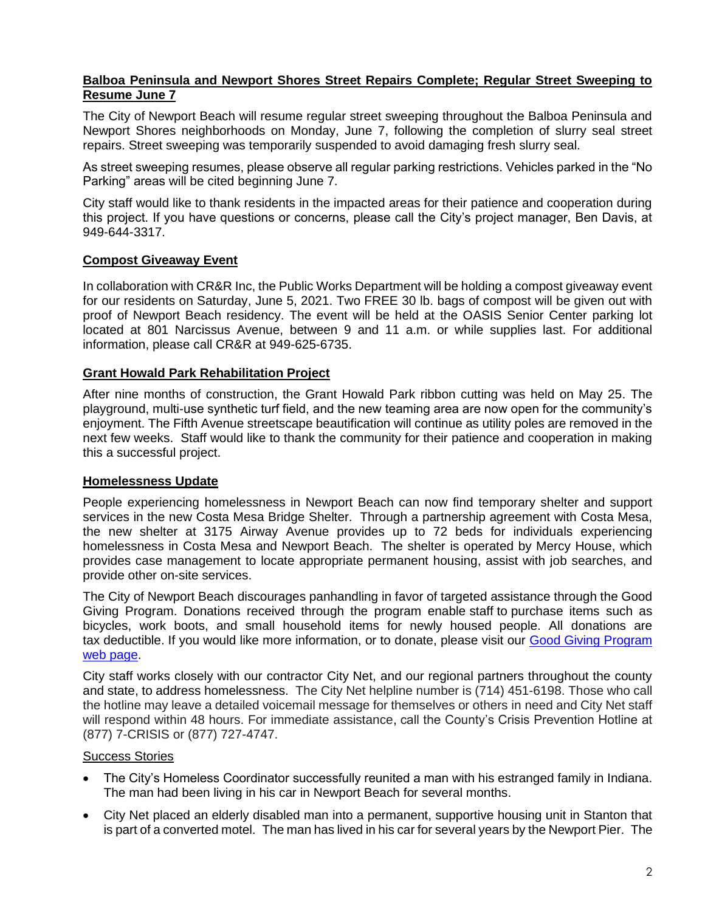# **Balboa Peninsula and Newport Shores Street Repairs Complete; Regular Street Sweeping to Resume June 7**

The City of Newport Beach will resume regular street sweeping throughout the Balboa Peninsula and Newport Shores neighborhoods on Monday, June 7, following the completion of slurry seal street repairs. Street sweeping was temporarily suspended to avoid damaging fresh slurry seal.

As street sweeping resumes, please observe all regular parking restrictions. Vehicles parked in the "No Parking" areas will be cited beginning June 7.

City staff would like to thank residents in the impacted areas for their patience and cooperation during this project. If you have questions or concerns, please call the City's project manager, Ben Davis, at 949-644-3317.

# **Compost Giveaway Event**

In collaboration with CR&R Inc, the Public Works Department will be holding a compost giveaway event for our residents on Saturday, June 5, 2021. Two FREE 30 lb. bags of compost will be given out with proof of Newport Beach residency. The event will be held at the OASIS Senior Center parking lot located at 801 Narcissus Avenue, between 9 and 11 a.m. or while supplies last. For additional information, please call CR&R at 949-625-6735.

### **Grant Howald Park Rehabilitation Project**

After nine months of construction, the Grant Howald Park ribbon cutting was held on May 25. The playground, multi-use synthetic turf field, and the new teaming area are now open for the community's enjoyment. The Fifth Avenue streetscape beautification will continue as utility poles are removed in the next few weeks. Staff would like to thank the community for their patience and cooperation in making this a successful project.

### **Homelessness Update**

People experiencing homelessness in Newport Beach can now find temporary shelter and support services in the new Costa Mesa Bridge Shelter. Through a partnership agreement with Costa Mesa, the new shelter at 3175 Airway Avenue provides up to 72 beds for individuals experiencing homelessness in Costa Mesa and Newport Beach. The shelter is operated by Mercy House, which provides case management to locate appropriate permanent housing, assist with job searches, and provide other on-site services.

The City of Newport Beach discourages panhandling in favor of targeted assistance through the Good Giving Program. Donations received through the program enable staff to purchase items such as bicycles, work boots, and small household items for newly housed people. All donations are tax deductible. If you would like more information, or to donate, please visit our Good Giving Program [web page.](https://newportbeachca.gov/trending/community-issues/homelessness/how-you-can-help)

City staff works closely with our contractor City Net, and our regional partners throughout the county and state, to address homelessness. The City Net helpline number is (714) 451-6198. Those who call the hotline may leave a detailed voicemail message for themselves or others in need and City Net staff will respond within 48 hours. For immediate assistance, call the County's Crisis Prevention Hotline at (877) 7-CRISIS or (877) 727-4747.

### Success Stories

- The City's Homeless Coordinator successfully reunited a man with his estranged family in Indiana. The man had been living in his car in Newport Beach for several months.
- City Net placed an elderly disabled man into a permanent, supportive housing unit in Stanton that is part of a converted motel. The man has lived in his car for several years by the Newport Pier. The